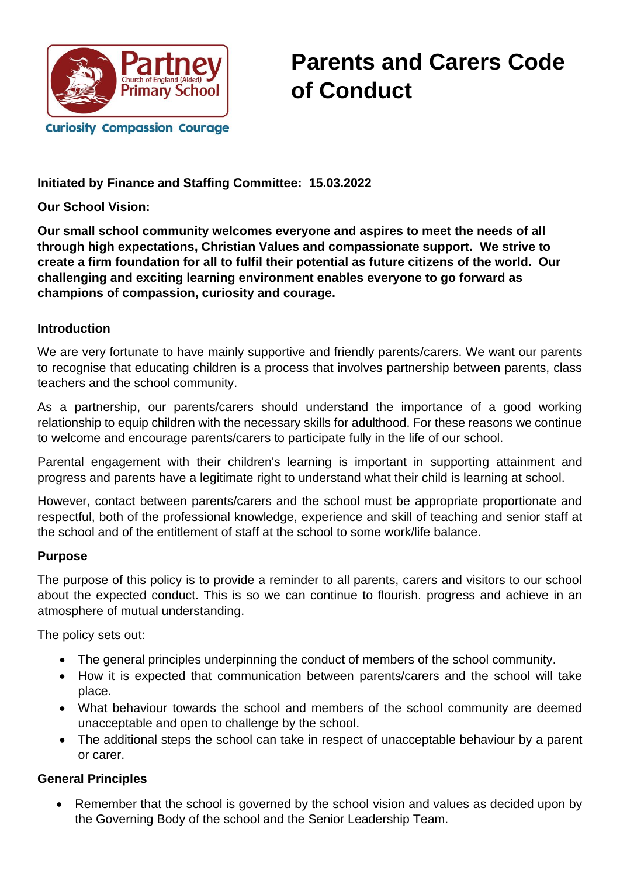

**Initiated by Finance and Staffing Committee: 15.03.2022**

**Our School Vision:**

**Our small school community welcomes everyone and aspires to meet the needs of all through high expectations, Christian Values and compassionate support. We strive to create a firm foundation for all to fulfil their potential as future citizens of the world. Our challenging and exciting learning environment enables everyone to go forward as champions of compassion, curiosity and courage.** 

#### **Introduction**

We are very fortunate to have mainly supportive and friendly parents/carers. We want our parents to recognise that educating children is a process that involves partnership between parents, class teachers and the school community.

As a partnership, our parents/carers should understand the importance of a good working relationship to equip children with the necessary skills for adulthood. For these reasons we continue to welcome and encourage parents/carers to participate fully in the life of our school.

Parental engagement with their children's learning is important in supporting attainment and progress and parents have a legitimate right to understand what their child is learning at school.

However, contact between parents/carers and the school must be appropriate proportionate and respectful, both of the professional knowledge, experience and skill of teaching and senior staff at the school and of the entitlement of staff at the school to some work/life balance.

#### **Purpose**

The purpose of this policy is to provide a reminder to all parents, carers and visitors to our school about the expected conduct. This is so we can continue to flourish. progress and achieve in an atmosphere of mutual understanding.

The policy sets out:

- The general principles underpinning the conduct of members of the school community.
- How it is expected that communication between parents/carers and the school will take place.
- What behaviour towards the school and members of the school community are deemed unacceptable and open to challenge by the school.
- The additional steps the school can take in respect of unacceptable behaviour by a parent or carer.

### **General Principles**

• Remember that the school is governed by the school vision and values as decided upon by the Governing Body of the school and the Senior Leadership Team.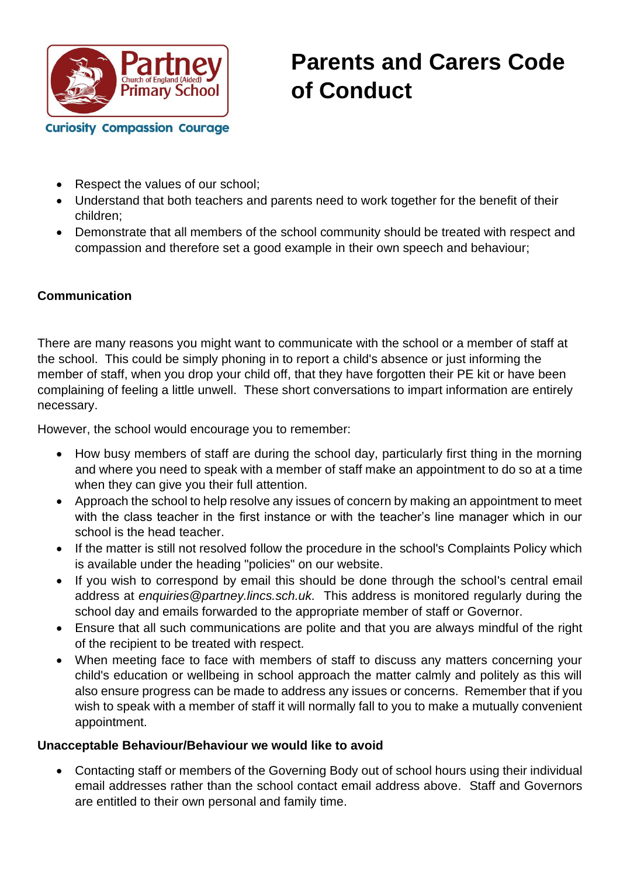

- Respect the values of our school:
- Understand that both teachers and parents need to work together for the benefit of their children;
- Demonstrate that all members of the school community should be treated with respect and compassion and therefore set a good example in their own speech and behaviour;

#### **Communication**

There are many reasons you might want to communicate with the school or a member of staff at the school. This could be simply phoning in to report a child's absence or just informing the member of staff, when you drop your child off, that they have forgotten their PE kit or have been complaining of feeling a little unwell. These short conversations to impart information are entirely necessary.

However, the school would encourage you to remember:

- How busy members of staff are during the school day, particularly first thing in the morning and where you need to speak with a member of staff make an appointment to do so at a time when they can give you their full attention.
- Approach the school to help resolve any issues of concern by making an appointment to meet with the class teacher in the first instance or with the teacher's line manager which in our school is the head teacher.
- If the matter is still not resolved follow the procedure in the school's Complaints Policy which is available under the heading "policies" on our website.
- If you wish to correspond by email this should be done through the school's central email address at *enquiries@partney.lincs.sch.uk.* This address is monitored regularly during the school day and emails forwarded to the appropriate member of staff or Governor.
- Ensure that all such communications are polite and that you are always mindful of the right of the recipient to be treated with respect.
- When meeting face to face with members of staff to discuss any matters concerning your child's education or wellbeing in school approach the matter calmly and politely as this will also ensure progress can be made to address any issues or concerns. Remember that if you wish to speak with a member of staff it will normally fall to you to make a mutually convenient appointment.

#### **Unacceptable Behaviour/Behaviour we would like to avoid**

• Contacting staff or members of the Governing Body out of school hours using their individual email addresses rather than the school contact email address above. Staff and Governors are entitled to their own personal and family time.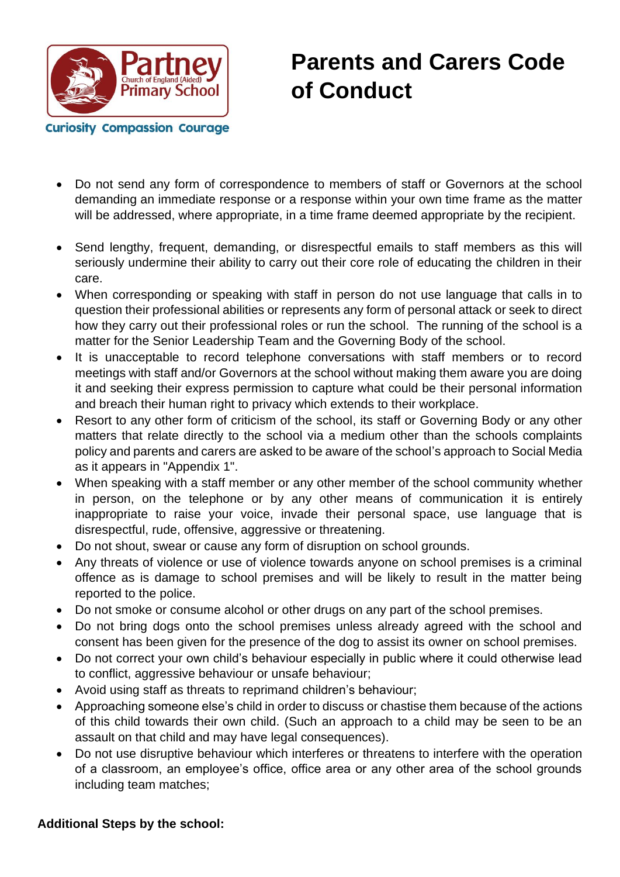

- Do not send any form of correspondence to members of staff or Governors at the school demanding an immediate response or a response within your own time frame as the matter will be addressed, where appropriate, in a time frame deemed appropriate by the recipient.
- Send lengthy, frequent, demanding, or disrespectful emails to staff members as this will seriously undermine their ability to carry out their core role of educating the children in their care.
- When corresponding or speaking with staff in person do not use language that calls in to question their professional abilities or represents any form of personal attack or seek to direct how they carry out their professional roles or run the school. The running of the school is a matter for the Senior Leadership Team and the Governing Body of the school.
- It is unacceptable to record telephone conversations with staff members or to record meetings with staff and/or Governors at the school without making them aware you are doing it and seeking their express permission to capture what could be their personal information and breach their human right to privacy which extends to their workplace.
- Resort to any other form of criticism of the school, its staff or Governing Body or any other matters that relate directly to the school via a medium other than the schools complaints policy and parents and carers are asked to be aware of the school's approach to Social Media as it appears in "Appendix 1".
- When speaking with a staff member or any other member of the school community whether in person, on the telephone or by any other means of communication it is entirely inappropriate to raise your voice, invade their personal space, use language that is disrespectful, rude, offensive, aggressive or threatening.
- Do not shout, swear or cause any form of disruption on school grounds.
- Any threats of violence or use of violence towards anyone on school premises is a criminal offence as is damage to school premises and will be likely to result in the matter being reported to the police.
- Do not smoke or consume alcohol or other drugs on any part of the school premises.
- Do not bring dogs onto the school premises unless already agreed with the school and consent has been given for the presence of the dog to assist its owner on school premises.
- Do not correct your own child's behaviour especially in public where it could otherwise lead to conflict, aggressive behaviour or unsafe behaviour;
- Avoid using staff as threats to reprimand children's behaviour;
- Approaching someone else's child in order to discuss or chastise them because of the actions of this child towards their own child. (Such an approach to a child may be seen to be an assault on that child and may have legal consequences).
- Do not use disruptive behaviour which interferes or threatens to interfere with the operation of a classroom, an employee's office, office area or any other area of the school grounds including team matches;

### **Additional Steps by the school:**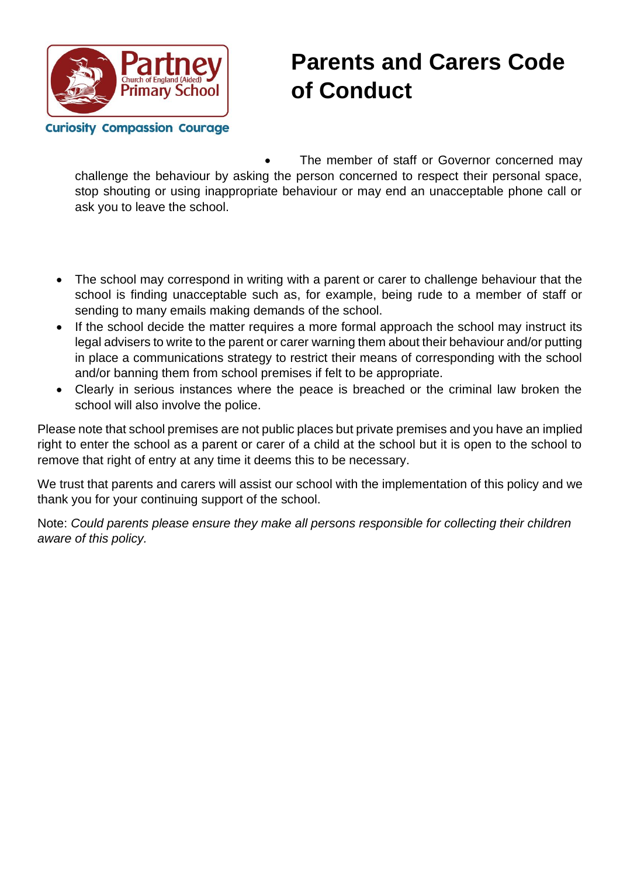

The member of staff or Governor concerned may challenge the behaviour by asking the person concerned to respect their personal space, stop shouting or using inappropriate behaviour or may end an unacceptable phone call or ask you to leave the school.

- The school may correspond in writing with a parent or carer to challenge behaviour that the school is finding unacceptable such as, for example, being rude to a member of staff or sending to many emails making demands of the school.
- If the school decide the matter requires a more formal approach the school may instruct its legal advisers to write to the parent or carer warning them about their behaviour and/or putting in place a communications strategy to restrict their means of corresponding with the school and/or banning them from school premises if felt to be appropriate.
- Clearly in serious instances where the peace is breached or the criminal law broken the school will also involve the police.

Please note that school premises are not public places but private premises and you have an implied right to enter the school as a parent or carer of a child at the school but it is open to the school to remove that right of entry at any time it deems this to be necessary.

We trust that parents and carers will assist our school with the implementation of this policy and we thank you for your continuing support of the school.

Note: *Could parents please ensure they make all persons responsible for collecting their children aware of this policy.*